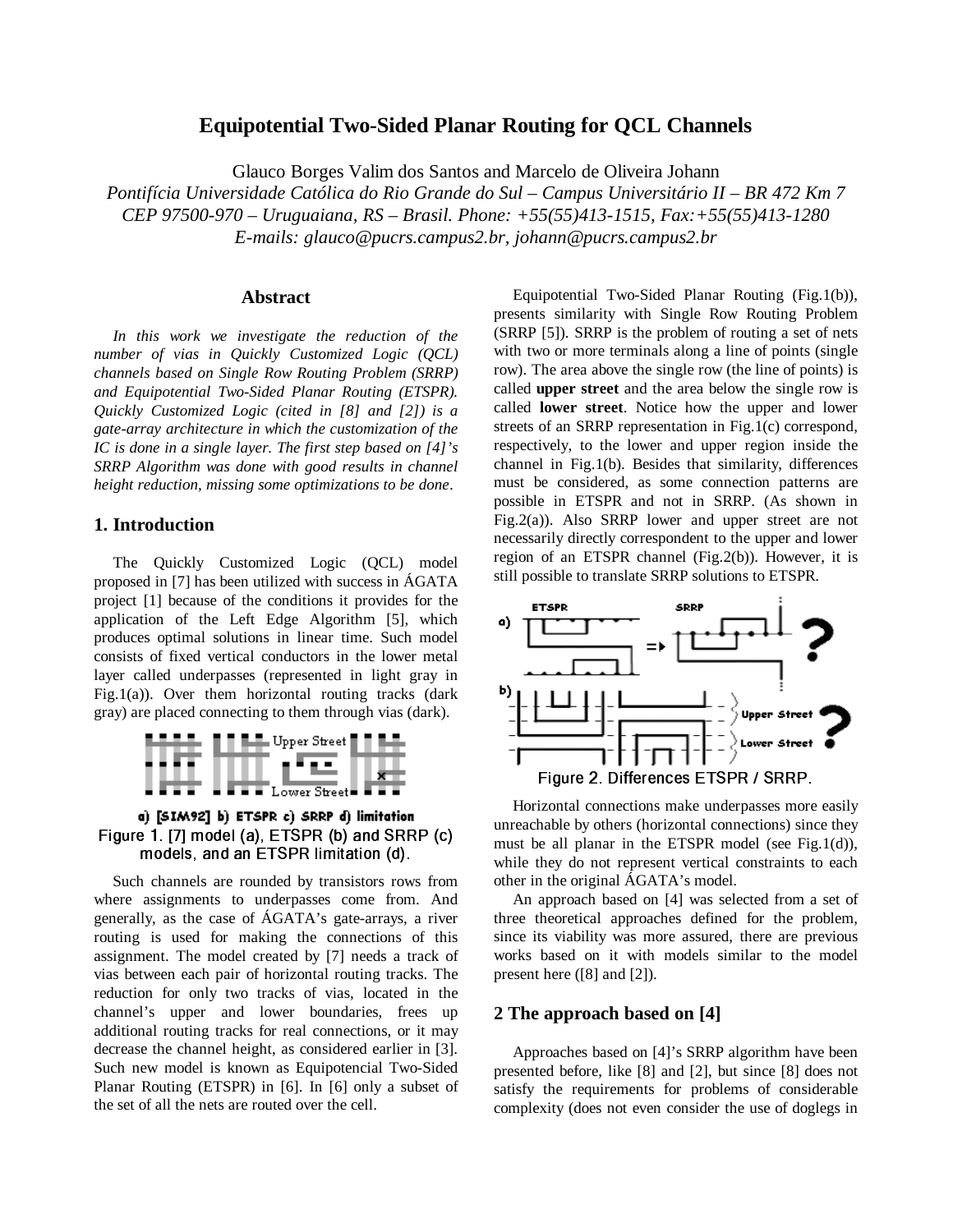# **Equipotential Two-Sided Planar Routing for QCL Channels**

Glauco Borges Valim dos Santos and Marcelo de Oliveira Johann

*Pontifícia Universidade Católica do Rio Grande do Sul – Campus Universitário II – BR 472 Km 7 CEP 97500-970 – Uruguaiana, RS – Brasil. Phone: +55(55)413-1515, Fax:+55(55)413-1280 E-mails: glauco@pucrs.campus2.br, johann@pucrs.campus2.br*

#### **Abstract**

*In this work we investigate the reduction of the number of vias in Quickly Customized Logic (QCL) channels based on Single Row Routing Problem (SRRP) and Equipotential Two-Sided Planar Routing (ETSPR). Quickly Customized Logic (cited in [8] and [2]) is a gate-array architecture in which the customization of the IC is done in a single layer. The first step based on [4]'s SRRP Algorithm was done with good results in channel height reduction, missing some optimizations to be done*.

### **1. Introduction**

The Quickly Customized Logic (QCL) model proposed in [7] has been utilized with success in ÁGATA project [1] because of the conditions it provides for the application of the Left Edge Algorithm [5], which produces optimal solutions in linear time. Such model consists of fixed vertical conductors in the lower metal layer called underpasses (represented in light gray in Fig.1(a)). Over them horizontal routing tracks (dark gray) are placed connecting to them through vias (dark).



a) [SIM92] b) ETSPR c) SRRP d) limitation - 
 -!#"%\$'&(\*)+,-./"0&1&2\$3 45 models, and an ETSPR limitation (d).

Such channels are rounded by transistors rows from where assignments to underpasses come from. And generally, as the case of ÁGATA's gate-arrays, a river routing is used for making the connections of this assignment. The model created by [7] needs a track of vias between each pair of horizontal routing tracks. The reduction for only two tracks of vias, located in the channel's upper and lower boundaries, frees up additional routing tracks for real connections, or it may decrease the channel height, as considered earlier in [3]. Such new model is known as Equipotencial Two-Sided Planar Routing (ETSPR) in [6]. In [6] only a subset of the set of all the nets are routed over the cell.

Equipotential Two-Sided Planar Routing (Fig.1(b)), presents similarity with Single Row Routing Problem (SRRP [5]). SRRP is the problem of routing a set of nets with two or more terminals along a line of points (single row). The area above the single row (the line of points) is called **upper street** and the area below the single row is called **lower street**. Notice how the upper and lower streets of an SRRP representation in Fig.1(c) correspond, respectively, to the lower and upper region inside the channel in Fig.1(b). Besides that similarity, differences must be considered, as some connection patterns are possible in ETSPR and not in SRRP. (As shown in Fig.2(a)). Also SRRP lower and upper street are not necessarily directly correspondent to the upper and lower region of an ETSPR channel (Fig.2(b)). However, it is still possible to translate SRRP solutions to ETSPR.



Horizontal connections make underpasses more easily unreachable by others (horizontal connections) since they must be all planar in the ETSPR model (see Fig.1(d)), while they do not represent vertical constraints to each other in the original ÁGATA's model.

An approach based on [4] was selected from a set of three theoretical approaches defined for the problem, since its viability was more assured, there are previous works based on it with models similar to the model present here ([8] and [2]).

#### **2 The approach based on [4]**

Approaches based on [4]'s SRRP algorithm have been presented before, like [8] and [2], but since [8] does not satisfy the requirements for problems of considerable complexity (does not even consider the use of doglegs in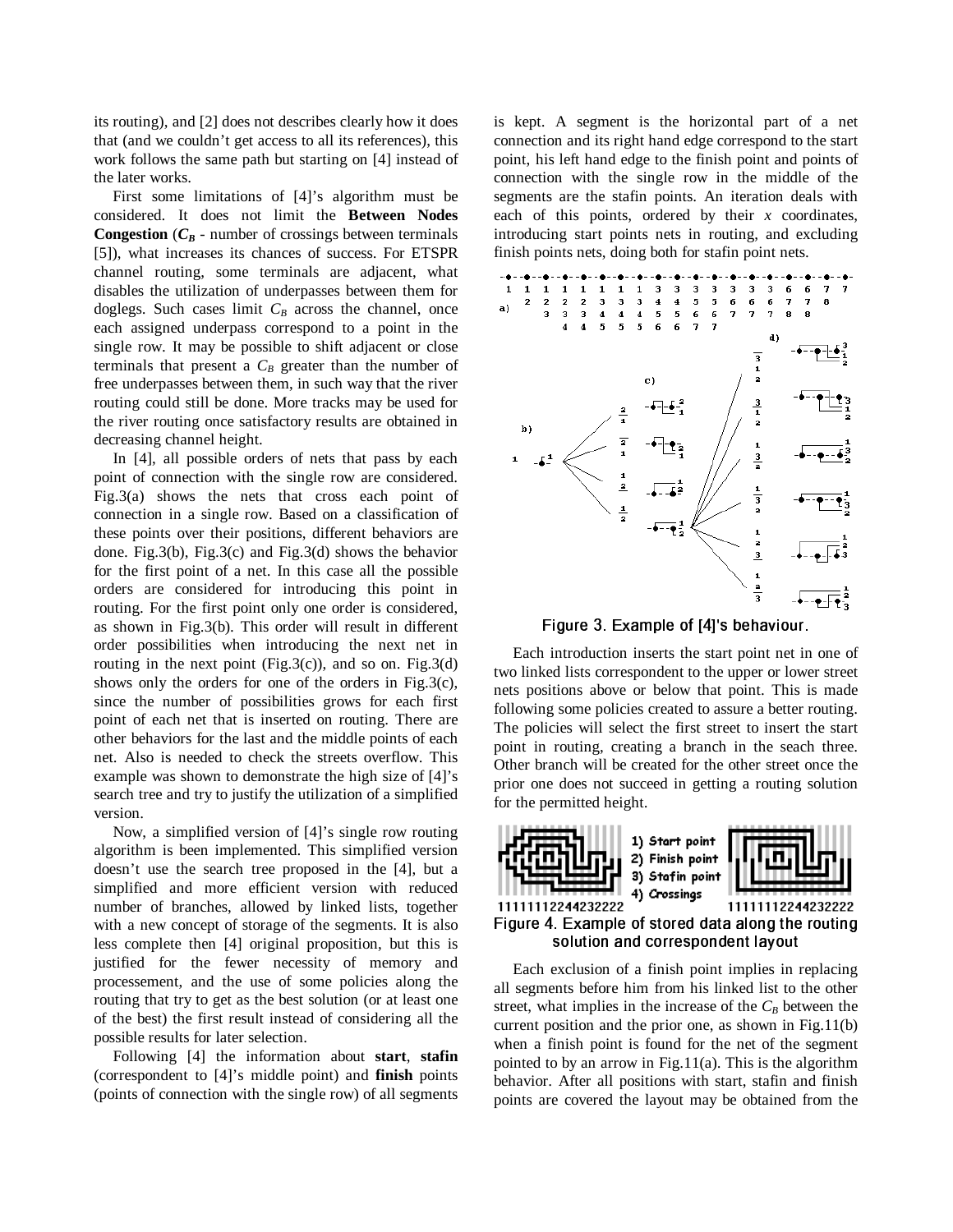its routing), and [2] does not describes clearly how it does that (and we couldn't get access to all its references), this work follows the same path but starting on [4] instead of the later works.

First some limitations of [4]'s algorithm must be considered. It does not limit the **Between Nodes Congestion** ( $C_B$  - number of crossings between terminals [5]), what increases its chances of success. For ETSPR channel routing, some terminals are adjacent, what disables the utilization of underpasses between them for doglegs. Such cases limit *C<sup>B</sup>* across the channel, once each assigned underpass correspond to a point in the single row. It may be possible to shift adjacent or close terminals that present a  $C_B$  greater than the number of free underpasses between them, in such way that the river routing could still be done. More tracks may be used for the river routing once satisfactory results are obtained in decreasing channel height.

In [4], all possible orders of nets that pass by each point of connection with the single row are considered. Fig.3(a) shows the nets that cross each point of connection in a single row. Based on a classification of these points over their positions, different behaviors are done. Fig.3(b), Fig.3(c) and Fig.3(d) shows the behavior for the first point of a net. In this case all the possible orders are considered for introducing this point in routing. For the first point only one order is considered, as shown in Fig.3(b). This order will result in different order possibilities when introducing the next net in routing in the next point (Fig.3(c)), and so on. Fig.3(d) shows only the orders for one of the orders in Fig.3(c), since the number of possibilities grows for each first point of each net that is inserted on routing. There are other behaviors for the last and the middle points of each net. Also is needed to check the streets overflow. This example was shown to demonstrate the high size of [4]'s search tree and try to justify the utilization of a simplified version.

Now, a simplified version of [4]'s single row routing algorithm is been implemented. This simplified version doesn't use the search tree proposed in the [4], but a simplified and more efficient version with reduced number of branches, allowed by linked lists, together with a new concept of storage of the segments. It is also less complete then [4] original proposition, but this is justified for the fewer necessity of memory and processement, and the use of some policies along the routing that try to get as the best solution (or at least one of the best) the first result instead of considering all the possible results for later selection.

Following [4] the information about **start**, **stafin** (correspondent to [4]'s middle point) and **finish** points (points of connection with the single row) of all segments is kept. A segment is the horizontal part of a net connection and its right hand edge correspond to the start point, his left hand edge to the finish point and points of connection with the single row in the middle of the segments are the stafin points. An iteration deals with each of this points, ordered by their *x* coordinates, introducing start points nets in routing, and excluding finish points nets, doing both for stafin point nets.



- /H JI:K>B-MLON 6E).P

Q =

Each introduction inserts the start point net in one of two linked lists correspondent to the upper or lower street nets positions above or below that point. This is made following some policies created to assure a better routing. The policies will select the first street to insert the start point in routing, creating a branch in the seach three. Other branch will be created for the other street once the prior one does not succeed in getting a routing solution for the permitted height.



Each exclusion of a finish point implies in replacing all segments before him from his linked list to the other street, what implies in the increase of the  $C_B$  between the current position and the prior one, as shown in Fig.11(b) when a finish point is found for the net of the segment pointed to by an arrow in Fig.11(a). This is the algorithm behavior. After all positions with start, stafin and finish points are covered the layout may be obtained from the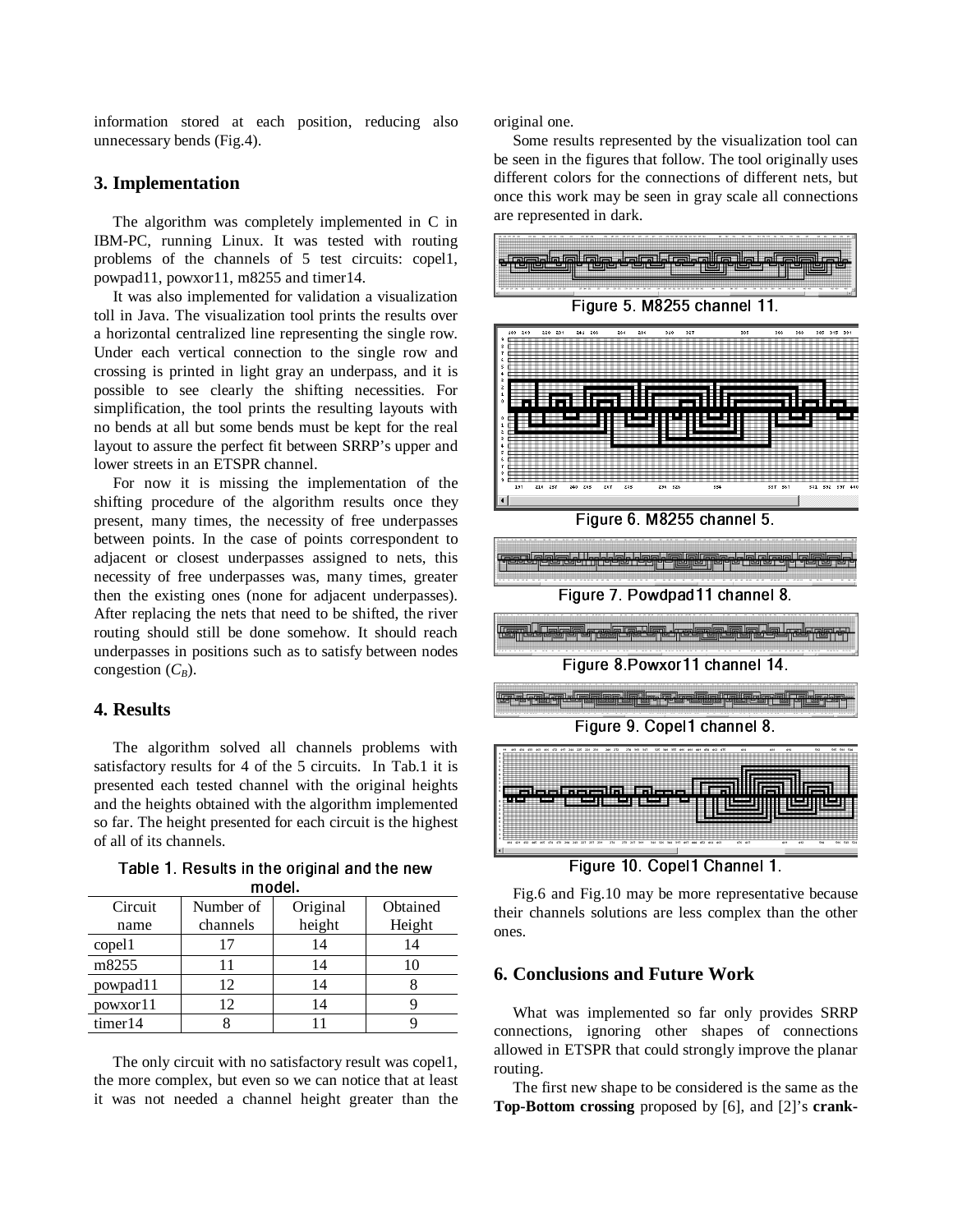information stored at each position, reducing also unnecessary bends (Fig.4).

## **3. Implementation**

The algorithm was completely implemented in C in IBM-PC, running Linux. It was tested with routing problems of the channels of 5 test circuits: copel1, powpad11, powxor11, m8255 and timer14.

It was also implemented for validation a visualization toll in Java. The visualization tool prints the results over a horizontal centralized line representing the single row. Under each vertical connection to the single row and crossing is printed in light gray an underpass, and it is possible to see clearly the shifting necessities. For simplification, the tool prints the resulting layouts with no bends at all but some bends must be kept for the real layout to assure the perfect fit between SRRP's upper and lower streets in an ETSPR channel.

For now it is missing the implementation of the shifting procedure of the algorithm results once they present, many times, the necessity of free underpasses between points. In the case of points correspondent to adjacent or closest underpasses assigned to nets, this necessity of free underpasses was, many times, greater then the existing ones (none for adjacent underpasses). After replacing the nets that need to be shifted, the river routing should still be done somehow. It should reach underpasses in positions such as to satisfy between nodes congestion  $(C_B)$ .

# **4. Results**

The algorithm solved all channels problems with satisfactory results for 4 of the 5 circuits. In Tab.1 it is presented each tested channel with the original heights and the heights obtained with the algorithm implemented so far. The height presented for each circuit is the highest of all of its channels.

| Circuit  | Number of | Original | Obtained |
|----------|-----------|----------|----------|
| name     | channels  | height   | Height   |
| copel1   | 17        | 14       | 14       |
| m8255    | 11        | 14       |          |
| powpad11 | 12        | 14       |          |
| powxor11 | 12        | 14       |          |
| timer14  |           |          |          |

!,) &06 ;<6EM-W;=P
\* M+X;=P
YDZ **m**ndel

The only circuit with no satisfactory result was copel1, the more complex, but even so we can notice that at least it was not needed a channel height greater than the original one.

Some results represented by the visualization tool can be seen in the figures that follow. The tool originally uses different colors for the connections of different nets, but once this work may be seen in gray scale all connections are represented in dark.



7> h 5iJ
f2K.g WfjP
--.^ 

Fig.6 and Fig.10 may be more representative because their channels solutions are less complex than the other ones.

# **6. Conclusions and Future Work**

What was implemented so far only provides SRRP connections, ignoring other shapes of connections allowed in ETSPR that could strongly improve the planar routing.

The first new shape to be considered is the same as the **Top-Bottom crossing** proposed by [6], and [2]'s **crank-**